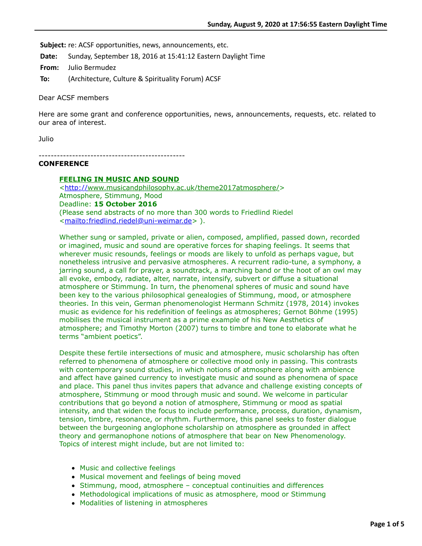**Subject:** re: ACSF opportunities, news, announcements, etc.

**Date:** Sunday, September 18, 2016 at 15:41:12 Eastern Daylight Time

**From:** Julio Bermudez

**To:** (Architecture, Culture & Spirituality Forum) ACSF

Dear ACSF members

Here are some grant and conference opportunities, news, announcements, requests, etc. related to our area of interest.

Julio

------------------------------------------------

# **CONFERENCE**

# **FEELING IN MUSIC AND SOUND**

<<http://>www.musicandphilosophy.ac.uk/theme2017atmosphere/> Atmosphere, Stimmung, Mood Deadline: **15 October 2016**  (Please send abstracts of no more than 300 words to Friedlind Riedel <[mailto:friedlind.riedel@uni-weimar.de>](mailto:friedlind.riedel@uni-weimar.de) ).

Whether sung or sampled, private or alien, composed, amplified, passed down, recorded or imagined, music and sound are operative forces for shaping feelings. It seems that wherever music resounds, feelings or moods are likely to unfold as perhaps vague, but nonetheless intrusive and pervasive atmospheres. A recurrent radio-tune, a symphony, a jarring sound, a call for prayer, a soundtrack, a marching band or the hoot of an owl may all evoke, embody, radiate, alter, narrate, intensify, subvert or diffuse a situational atmosphere or Stimmung. In turn, the phenomenal spheres of music and sound have been key to the various philosophical genealogies of Stimmung, mood, or atmosphere theories. In this vein, German phenomenologist Hermann Schmitz (1978, 2014) invokes music as evidence for his redefinition of feelings as atmospheres; Gernot Böhme (1995) mobilises the musical instrument as a prime example of his New Aesthetics of atmosphere; and Timothy Morton (2007) turns to timbre and tone to elaborate what he terms "ambient poetics".

Despite these fertile intersections of music and atmosphere, music scholarship has often referred to phenomena of atmosphere or collective mood only in passing. This contrasts with contemporary sound studies, in which notions of atmosphere along with ambience and affect have gained currency to investigate music and sound as phenomena of space and place. This panel thus invites papers that advance and challenge existing concepts of atmosphere, Stimmung or mood through music and sound. We welcome in particular contributions that go beyond a notion of atmosphere, Stimmung or mood as spatial intensity, and that widen the focus to include performance, process, duration, dynamism, tension, timbre, resonance, or rhythm. Furthermore, this panel seeks to foster dialogue between the burgeoning anglophone scholarship on atmosphere as grounded in affect theory and germanophone notions of atmosphere that bear on New Phenomenology. Topics of interest might include, but are not limited to:

- Music and collective feelings
- Musical movement and feelings of being moved
- Stimmung, mood, atmosphere conceptual continuities and differences
- Methodological implications of music as atmosphere, mood or Stimmung
- Modalities of listening in atmospheres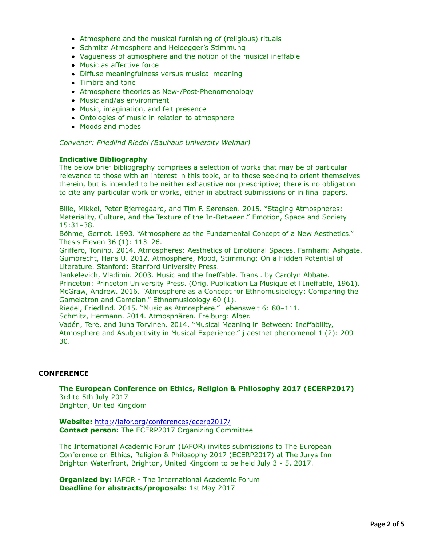- Atmosphere and the musical furnishing of (religious) rituals
- Schmitz' Atmosphere and Heidegger's Stimmung
- Vagueness of atmosphere and the notion of the musical ineffable
- Music as affective force
- Diffuse meaningfulness versus musical meaning
- Timbre and tone
- Atmosphere theories as New-/Post-Phenomenology
- Music and/as environment
- Music, imagination, and felt presence
- Ontologies of music in relation to atmosphere
- Moods and modes

## *Convener: Friedlind Riedel (Bauhaus University Weimar)*

## **Indicative Bibliography**

The below brief bibliography comprises a selection of works that may be of particular relevance to those with an interest in this topic, or to those seeking to orient themselves therein, but is intended to be neither exhaustive nor prescriptive; there is no obligation to cite any particular work or works, either in abstract submissions or in final papers.

Bille, Mikkel, Peter Bjerregaard, and Tim F. Sørensen. 2015. "Staging Atmospheres: Materiality, Culture, and the Texture of the In-Between." Emotion, Space and Society 15:31–38.

Böhme, Gernot. 1993. "Atmosphere as the Fundamental Concept of a New Aesthetics." Thesis Eleven 36 (1): 113–26.

Griffero, Tonino. 2014. Atmospheres: Aesthetics of Emotional Spaces. Farnham: Ashgate. Gumbrecht, Hans U. 2012. Atmosphere, Mood, Stimmung: On a Hidden Potential of Literature. Stanford: Stanford University Press.

Jankelevich, Vladimir. 2003. Music and the Ineffable. Transl. by Carolyn Abbate. Princeton: Princeton University Press. (Orig. Publication La Musique et l'Ineffable, 1961). McGraw, Andrew. 2016. "Atmosphere as a Concept for Ethnomusicology: Comparing the Gamelatron and Gamelan." Ethnomusicology 60 (1).

Riedel, Friedlind. 2015. "Music as Atmosphere." Lebenswelt 6: 80–111.

Schmitz, Hermann. 2014. Atmosphären. Freiburg: Alber.

Vadén, Tere, and Juha Torvinen. 2014. "Musical Meaning in Between: Ineffability, Atmosphere and Asubjectivity in Musical Experience." j aesthet phenomenol 1 (2): 209– 30.

## **CONFERENCE**

**The European Conference on Ethics, Religion & Philosophy 2017 (ECERP2017)** 3rd to 5th July 2017 Brighton, United Kingdom

------------------------------------------------

**Website:** <http://iafor.org/conferences/ecerp2017/> **Contact person:** The ECERP2017 Organizing Committee

The International Academic Forum (IAFOR) invites submissions to The European Conference on Ethics, Religion & Philosophy 2017 (ECERP2017) at The Jurys Inn Brighton Waterfront, Brighton, United Kingdom to be held July 3 - 5, 2017.

**Organized by:** IAFOR - The International Academic Forum **Deadline for abstracts/proposals:** 1st May 2017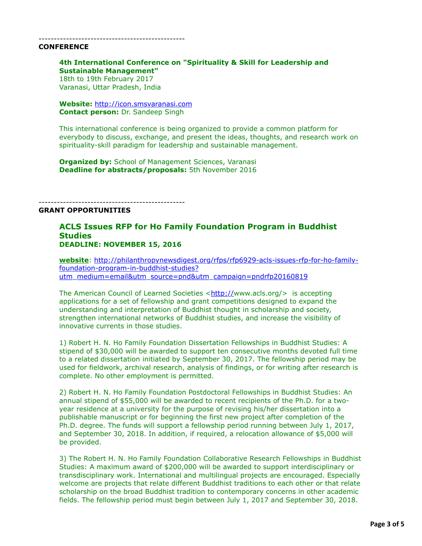#### ------------------------------------------------

#### **CONFERENCE**

# **4th International Conference on "Spirituality & Skill for Leadership and Sustainable Management"**

18th to 19th February 2017 Varanasi, Uttar Pradesh, India

**Website:** [http://icon.smsvaranasi.com](http://icon.smsvaranasi.com/) **Contact person:** Dr. Sandeep Singh

This international conference is being organized to provide a common platform for everybody to discuss, exchange, and present the ideas, thoughts, and research work on spirituality-skill paradigm for leadership and sustainable management.

**Organized by:** School of Management Sciences, Varanasi **Deadline for abstracts/proposals:** 5th November 2016

# ------------------------------------------------

## **GRANT OPPORTUNITIES**

# **ACLS Issues RFP for Ho Family Foundation Program in Buddhist Studies DEADLINE: NOVEMBER 15, 2016**

**website**[: http://philanthropynewsdigest.org/rfps/rfp6929-acls-issues-rfp-for-ho-family](http://philanthropynewsdigest.org/rfps/rfp6929-acls-issues-rfp-for-ho-family-foundation-program-in-buddhist-studies?utm_medium=email&utm_source=pnd&utm_campaign=pndrfp20160819)foundation-program-in-buddhist-studies? utm\_medium=email&utm\_source=pnd&utm\_campaign=pndrfp20160819

The American Council of Learned Societies  $\langle \frac{http://www.acls.org/}{http://www.acls.org/} \rangle$  is accepting applications for a set of fellowship and grant competitions designed to expand the understanding and interpretation of Buddhist thought in scholarship and society, strengthen international networks of Buddhist studies, and increase the visibility of innovative currents in those studies.

1) Robert H. N. Ho Family Foundation Dissertation Fellowships in Buddhist Studies: A stipend of \$30,000 will be awarded to support ten consecutive months devoted full time to a related dissertation initiated by September 30, 2017. The fellowship period may be used for fieldwork, archival research, analysis of findings, or for writing after research is complete. No other employment is permitted.

2) Robert H. N. Ho Family Foundation Postdoctoral Fellowships in Buddhist Studies: An annual stipend of \$55,000 will be awarded to recent recipients of the Ph.D. for a twoyear residence at a university for the purpose of revising his/her dissertation into a publishable manuscript or for beginning the first new project after completion of the Ph.D. degree. The funds will support a fellowship period running between July 1, 2017, and September 30, 2018. In addition, if required, a relocation allowance of \$5,000 will be provided.

3) The Robert H. N. Ho Family Foundation Collaborative Research Fellowships in Buddhist Studies: A maximum award of \$200,000 will be awarded to support interdisciplinary or transdisciplinary work. International and multilingual projects are encouraged. Especially welcome are projects that relate different Buddhist traditions to each other or that relate scholarship on the broad Buddhist tradition to contemporary concerns in other academic fields. The fellowship period must begin between July 1, 2017 and September 30, 2018.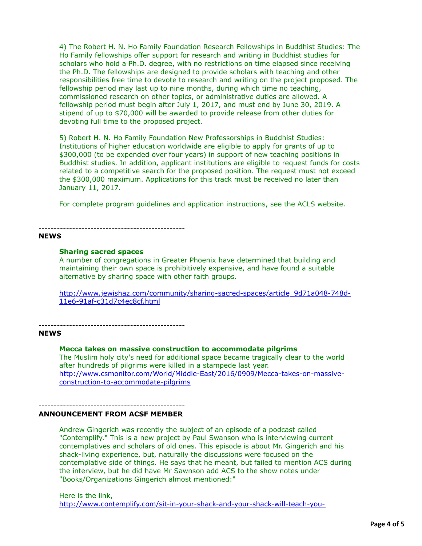4) The Robert H. N. Ho Family Foundation Research Fellowships in Buddhist Studies: The Ho Family fellowships offer support for research and writing in Buddhist studies for scholars who hold a Ph.D. degree, with no restrictions on time elapsed since receiving the Ph.D. The fellowships are designed to provide scholars with teaching and other responsibilities free time to devote to research and writing on the project proposed. The fellowship period may last up to nine months, during which time no teaching, commissioned research on other topics, or administrative duties are allowed. A fellowship period must begin after July 1, 2017, and must end by June 30, 2019. A stipend of up to \$70,000 will be awarded to provide release from other duties for devoting full time to the proposed project.

5) Robert H. N. Ho Family Foundation New Professorships in Buddhist Studies: Institutions of higher education worldwide are eligible to apply for grants of up to \$300,000 (to be expended over four years) in support of new teaching positions in Buddhist studies. In addition, applicant institutions are eligible to request funds for costs related to a competitive search for the proposed position. The request must not exceed the \$300,000 maximum. Applications for this track must be received no later than January 11, 2017.

For complete program guidelines and application instructions, see the ACLS website.

# **NEWS**

#### **Sharing sacred spaces**

------------------------------------------------

A number of congregations in Greater Phoenix have determined that building and maintaining their own space is prohibitively expensive, and have found a suitable alternative by sharing space with other faith groups.

[http://www.jewishaz.com/community/sharing-sacred-spaces/article\\_9d71a048-748d-](http://www.jewishaz.com/community/sharing-sacred-spaces/article_9d71a048-748d-11e6-91af-c31d7c4ec8cf.html)11e6-91af-c31d7c4ec8cf.html

------------------------------------------------

# **NEWS**

#### **Mecca takes on massive construction to accommodate pilgrims**

The Muslim holy city's need for additional space became tragically clear to the world after hundreds of pilgrims were killed in a stampede last year. [http://www.csmonitor.com/World/Middle-East/2016/0909/Mecca-takes-on-massive](http://www.csmonitor.com/World/Middle-East/2016/0909/Mecca-takes-on-massive-construction-to-accommodate-pilgrims)construction-to-accommodate-pilgrims

#### ------------------------------------------------ **ANNOUNCEMENT FROM ACSF MEMBER**

Andrew Gingerich was recently the subject of an episode of a podcast called "Contemplify." This is a new project by Paul Swanson who is interviewing current contemplatives and scholars of old ones. This episode is about Mr. Gingerich and his shack-living experience, but, naturally the discussions were focused on the contemplative side of things. He says that he meant, but failed to mention ACS during the interview, but he did have Mr Sawnson add ACS to the show notes under "Books/Organizations Gingerich almost mentioned:"

Here is the link, [http://www.contemplify.com/sit-in-your-shack-and-your-shack-will-teach-you-](http://www.contemplify.com/sit-in-your-shack-and-your-shack-will-teach-you-everything-dialogues-with-andrew-gingerich/)